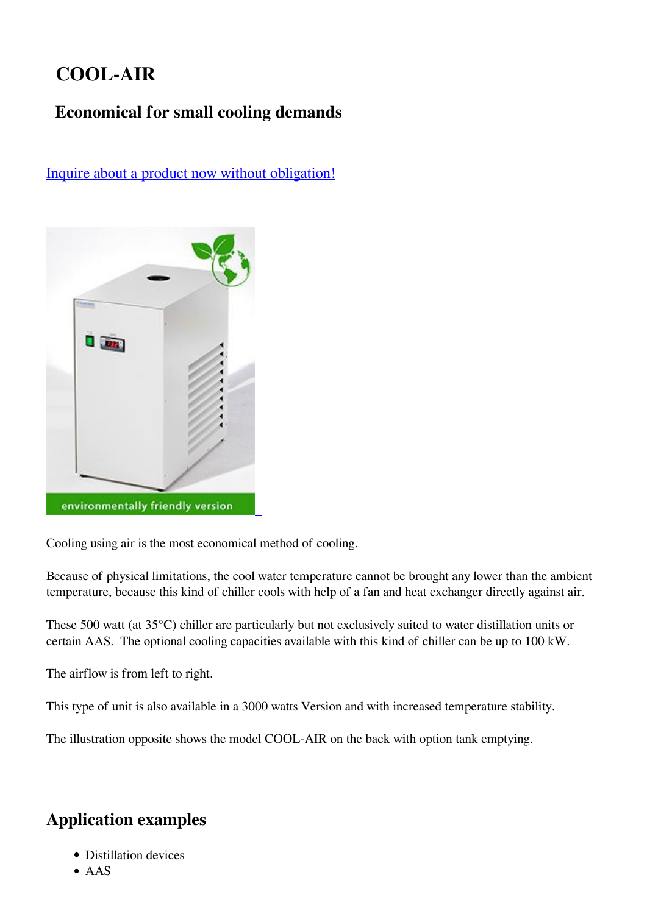## **COOL-AIR**

## **Economical for small cooling demands**



[Inquire about a product now without obligation!](https://van-der-heijden.de/index.php/en/product-request-form.html)

Cooling using air is the most economical method of cooling.

Because of physical limitations, the cool water temperature cannot be brought any lower than the ambient temperature, because this kind of chiller cools with help of a fan and heat exchanger directly against air.

These 500 watt (at 35°C) chiller are particularly but not exclusively suited to water distillation units or certain AAS. The optional cooling capacities available with this kind of chiller can be up to 100 kW.

The airflow is from left to right.

This type of unit is also available in a 3000 watts Version and with increased temperature stability.

The illustration opposite shows the model COOL-AIR on the back with option tank emptying.

## **Application examples**

- Distillation devices
- AAS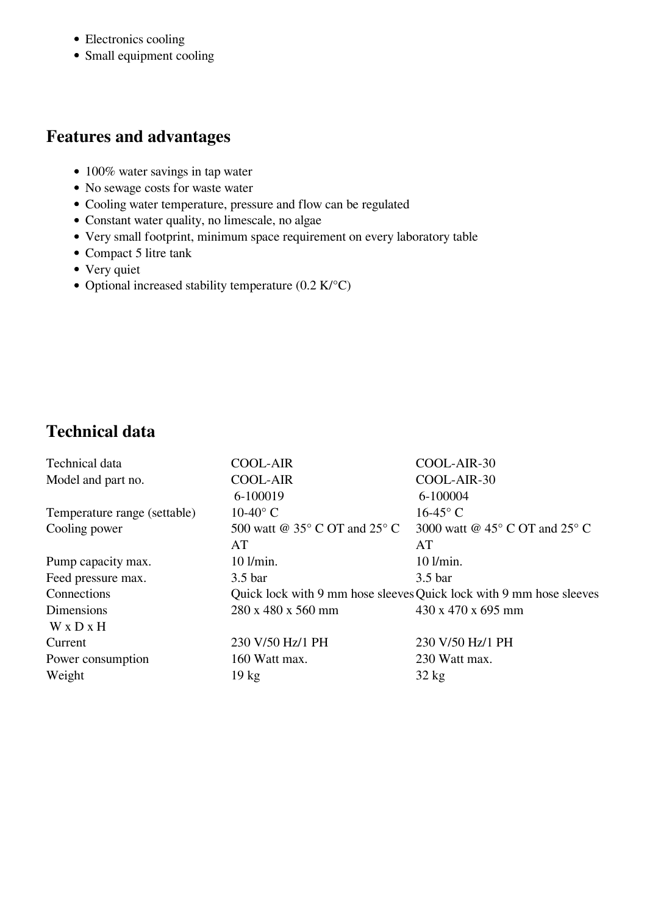- Electronics cooling
- Small equipment cooling

#### **Features and advantages**

- 100% water savings in tap water
- No sewage costs for waste water
- Cooling water temperature, pressure and flow can be regulated
- Constant water quality, no limescale, no algae
- Very small footprint, minimum space requirement on every laboratory table
- Compact 5 litre tank
- Very quiet
- Optional increased stability temperature  $(0.2 \text{ K}/^{\circ}\text{C})$

### **Technical data**

| Technical data               | <b>COOL-AIR</b>                                                     | COOL-AIR-30                             |
|------------------------------|---------------------------------------------------------------------|-----------------------------------------|
| Model and part no.           | <b>COOL-AIR</b>                                                     | COOL-AIR-30                             |
|                              | 6-100019                                                            | 6-100004                                |
| Temperature range (settable) | $10-40$ °C                                                          | $16-45$ °C                              |
| Cooling power                | 500 watt @ $35^{\circ}$ C OT and $25^{\circ}$ C                     | 3000 watt @ $45^{\circ}$ C OT and 25° C |
|                              | AT                                                                  | AT                                      |
| Pump capacity max.           | 10 l/min.                                                           | $10$ l/min.                             |
| Feed pressure max.           | 3.5 <sub>bar</sub>                                                  | 3.5 <sub>bar</sub>                      |
| Connections                  | Quick lock with 9 mm hose sleeves Quick lock with 9 mm hose sleeves |                                         |
| Dimensions                   | 280 x 480 x 560 mm                                                  | $430 \times 470 \times 695$ mm          |
| $W \times D \times H$        |                                                                     |                                         |
| Current                      | 230 V/50 Hz/1 PH                                                    | 230 V/50 Hz/1 PH                        |
| Power consumption            | 160 Watt max.                                                       | 230 Watt max.                           |
| Weight                       | $19 \text{ kg}$                                                     | $32 \text{ kg}$                         |